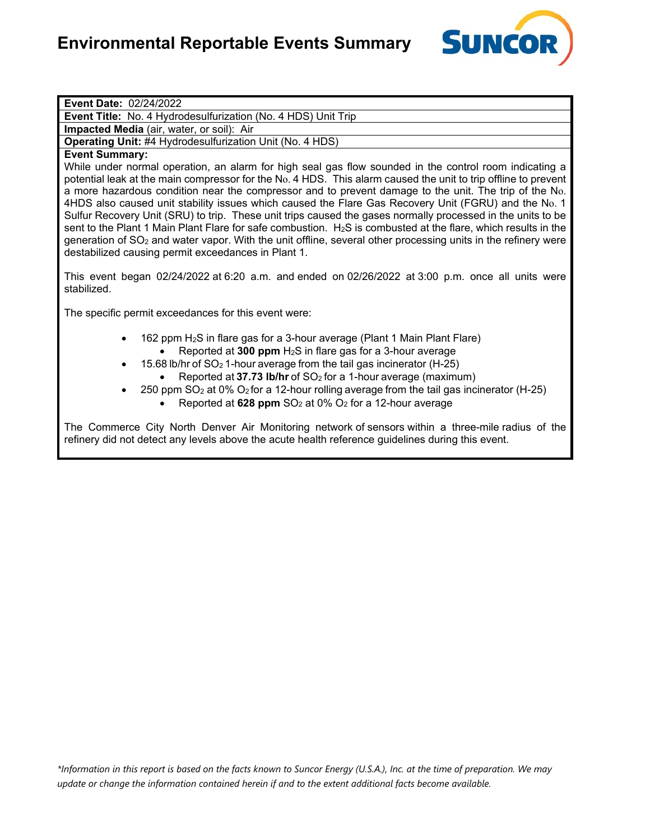

**Event Date:** 02/24/2022

**Event Title:** No. 4 Hydrodesulfurization (No. 4 HDS) Unit Trip

**Impacted Media** (air, water, or soil): Air

**Operating Unit:** #4 Hydrodesulfurization Unit (No. 4 HDS)

# **Event Summary:**

While under normal operation, an alarm for high seal gas flow sounded in the control room indicating a potential leak at the main compressor for the No. 4 HDS. This alarm caused the unit to trip offline to prevent a more hazardous condition near the compressor and to prevent damage to the unit. The trip of the No. 4HDS also caused unit stability issues which caused the Flare Gas Recovery Unit (FGRU) and the No. 1 Sulfur Recovery Unit (SRU) to trip. These unit trips caused the gases normally processed in the units to be sent to the Plant 1 Main Plant Flare for safe combustion. H<sub>2</sub>S is combusted at the flare, which results in the generation of SO<sub>2</sub> and water vapor. With the unit offline, several other processing units in the refinery were destabilized causing permit exceedances in Plant 1.

This event began 02/24/2022 at 6:20 a.m. and ended on 02/26/2022 at 3:00 p.m. once all units were stabilized.

The specific permit exceedances for this event were:

- 162 ppm H2S in flare gas for a 3-hour average (Plant 1 Main Plant Flare) • Reported at **300 ppm** H2S in flare gas for a 3-hour average
- 15.68 lb/hr of SO<sup>2</sup> 1-hour average from the tail gas incinerator (H-25)
	- Reported at **37.73 lb/hr** of SO2 for a 1-hour average (maximum)
- 250 ppm  $SO<sub>2</sub>$  at 0%  $O<sub>2</sub>$  for a 12-hour rolling average from the tail gas incinerator (H-25)
	- Reported at  $628$  ppm  $SO<sub>2</sub>$  at  $0\%$   $O<sub>2</sub>$  for a 12-hour average

The Commerce City North Denver Air Monitoring network of sensors within a three-mile radius of the refinery did not detect any levels above the acute health reference guidelines during this event.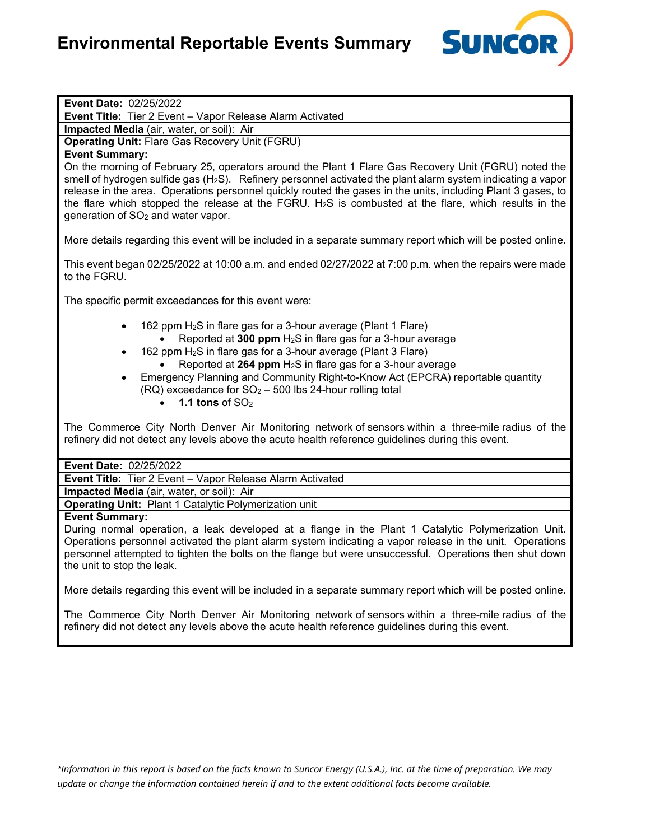

| <b>Event Date: 02/25/2022</b> |  |
|-------------------------------|--|
|-------------------------------|--|

**Event Title:** Tier 2 Event – Vapor Release Alarm Activated

**Impacted Media** (air, water, or soil): Air

**Operating Unit:** Flare Gas Recovery Unit (FGRU)

# **Event Summary:**

On the morning of February 25, operators around the Plant 1 Flare Gas Recovery Unit (FGRU) noted the smell of hydrogen sulfide gas (H2S). Refinery personnel activated the plant alarm system indicating a vapor release in the area. Operations personnel quickly routed the gases in the units, including Plant 3 gases, to the flare which stopped the release at the FGRU.  $H_2S$  is combusted at the flare, which results in the generation of SO2 and water vapor.

More details regarding this event will be included in a separate summary report which will be posted online.

This event began 02/25/2022 at 10:00 a.m. and ended 02/27/2022 at 7:00 p.m. when the repairs were made to the FGRU.

The specific permit exceedances for this event were:

- 162 ppm H2S in flare gas for a 3-hour average (Plant 1 Flare)
	- Reported at **300 ppm** H2S in flare gas for a 3-hour average
- 162 ppm  $H_2S$  in flare gas for a 3-hour average (Plant 3 Flare)
	- Reported at **264 ppm** H<sub>2</sub>S in flare gas for a 3-hour average
- Emergency Planning and Community Right-to-Know Act (EPCRA) reportable quantity  $(RQ)$  exceedance for  $SO<sub>2</sub> - 500$  lbs 24-hour rolling total
	- **1.1 tons** of SO2

The Commerce City North Denver Air Monitoring network of sensors within a three-mile radius of the refinery did not detect any levels above the acute health reference guidelines during this event.

#### **Event Date:** 02/25/2022

**Event Title:** Tier 2 Event – Vapor Release Alarm Activated

**Impacted Media** (air, water, or soil): Air

**Operating Unit:** Plant 1 Catalytic Polymerization unit

#### **Event Summary:**

During normal operation, a leak developed at a flange in the Plant 1 Catalytic Polymerization Unit. Operations personnel activated the plant alarm system indicating a vapor release in the unit. Operations personnel attempted to tighten the bolts on the flange but were unsuccessful. Operations then shut down the unit to stop the leak.

More details regarding this event will be included in a separate summary report which will be posted online.

The Commerce City North Denver Air Monitoring network of sensors within a three-mile radius of the refinery did not detect any levels above the acute health reference guidelines during this event.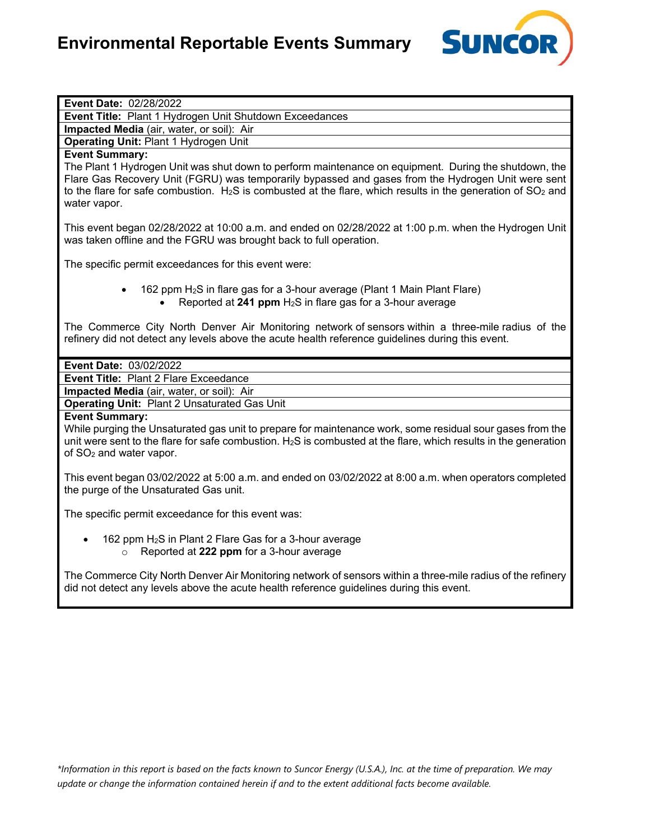

| Event Date: 02/28/2022                                                                                                               |
|--------------------------------------------------------------------------------------------------------------------------------------|
| Event Title: Plant 1 Hydrogen Unit Shutdown Exceedances                                                                              |
| Impacted Media (air, water, or soil): Air                                                                                            |
| Operating Unit: Plant 1 Hydrogen Unit                                                                                                |
| <b>Event Summary:</b>                                                                                                                |
| The Plant 1 Hydrogen Unit was shut down to perform maintenance on equipment. During the shutdown, the                                |
| Flare Gas Recovery Unit (FGRU) was temporarily bypassed and gases from the Hydrogen Unit were sent                                   |
| to the flare for safe combustion. H <sub>2</sub> S is combusted at the flare, which results in the generation of SO <sub>2</sub> and |
| water vapor.                                                                                                                         |
|                                                                                                                                      |
| This event began 02/28/2022 at 10:00 a.m. and ended on 02/28/2022 at 1:00 p.m. when the Hydrogen Unit                                |
| was taken offline and the FGRU was brought back to full operation.                                                                   |
|                                                                                                                                      |
| The specific permit exceedances for this event were:                                                                                 |
|                                                                                                                                      |
| 162 ppm H <sub>2</sub> S in flare gas for a 3-hour average (Plant 1 Main Plant Flare)                                                |
| Reported at 241 ppm $H_2S$ in flare gas for a 3-hour average                                                                         |
|                                                                                                                                      |
| The Commerce City North Denver Air Monitoring network of sensors within a three-mile radius of the                                   |
| refinery did not detect any levels above the acute health reference guidelines during this event.                                    |
|                                                                                                                                      |
| Event Date: 03/02/2022                                                                                                               |
|                                                                                                                                      |
| <b>Event Title: Plant 2 Flare Exceedance</b>                                                                                         |
| Impacted Media (air, water, or soil): Air                                                                                            |
| <b>Operating Unit: Plant 2 Unsaturated Gas Unit</b>                                                                                  |
| <b>Event Summary:</b>                                                                                                                |
| While purging the Unsaturated gas unit to prepare for maintenance work, some residual sour gases from the                            |
| unit were sent to the flare for safe combustion. $H_2S$ is combusted at the flare, which results in the generation                   |
| of SO <sub>2</sub> and water vapor.                                                                                                  |
|                                                                                                                                      |
| This event began 03/02/2022 at 5:00 a.m. and ended on 03/02/2022 at 8:00 a.m. when operators completed                               |
| the purge of the Unsaturated Gas unit.                                                                                               |
|                                                                                                                                      |
| The specific permit exceedance for this event was:                                                                                   |
|                                                                                                                                      |
| 162 ppm H <sub>2</sub> S in Plant 2 Flare Gas for a 3-hour average                                                                   |
| Reported at 222 ppm for a 3-hour average<br>$\circ$                                                                                  |
|                                                                                                                                      |
| The Commerce City North Denver Air Monitoring network of sensors within a three-mile radius of the refinery                          |
| did not detect any levels above the acute health reference guidelines during this event.                                             |
|                                                                                                                                      |
|                                                                                                                                      |
|                                                                                                                                      |
|                                                                                                                                      |